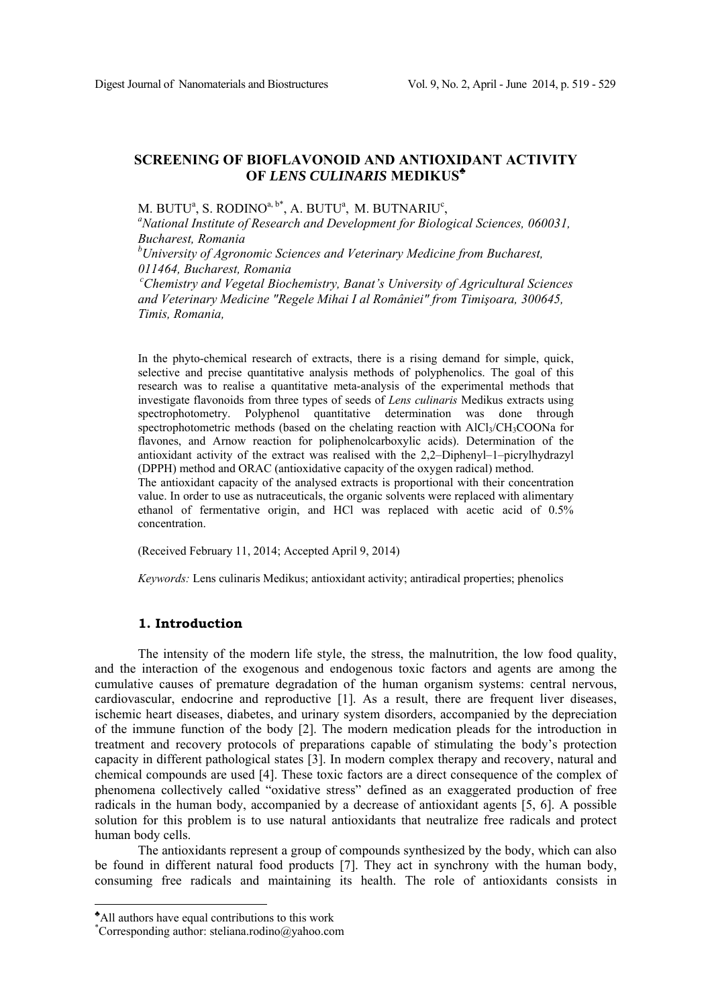# **SCREENING OF BIOFLAVONOID AND ANTIOXIDANT ACTIVITY OF** *LENS CULINARIS* **MEDIKUS♣**

M. BUTU<sup>a</sup>, S. RODINO<sup>a, b\*</sup>, A. BUTU<sup>a</sup>, M. BUTNARIU<sup>c</sup>,

*National Institute of Research and Development for Biological Sciences, 060031, Bucharest, Romania* 

*b University of Agronomic Sciences and Veterinary Medicine from Bucharest, 011464, Bucharest, Romania* 

 *cChemistry and Vegetal Biochemistry, Banat's University of Agricultural Sciences and Veterinary Medicine "Regele Mihai I al României" from Timişoara, 300645, Timis, Romania,* 

In the phyto-chemical research of extracts, there is a rising demand for simple, quick, selective and precise quantitative analysis methods of polyphenolics. The goal of this research was to realise a quantitative meta-analysis of the experimental methods that investigate flavonoids from three types of seeds of *Lens culinaris* Medikus extracts using spectrophotometry. Polyphenol quantitative determination was done through spectrophotometric methods (based on the chelating reaction with  $AICI<sub>3</sub>/CH<sub>3</sub>COONa$  for flavones, and Arnow reaction for poliphenolcarboxylic acids). Determination of the antioxidant activity of the extract was realised with the 2,2–Diphenyl–1–picrylhydrazyl (DPPH) method and ORAC (antioxidative capacity of the oxygen radical) method.

The antioxidant capacity of the analysed extracts is proportional with their concentration value. In order to use as nutraceuticals, the organic solvents were replaced with alimentary ethanol of fermentative origin, and HCl was replaced with acetic acid of 0.5% concentration.

(Received February 11, 2014; Accepted April 9, 2014)

*Keywords:* Lens culinaris Medikus; antioxidant activity; antiradical properties; phenolics

### **1. Introduction**

The intensity of the modern life style, the stress, the malnutrition, the low food quality, and the interaction of the exogenous and endogenous toxic factors and agents are among the cumulative causes of premature degradation of the human organism systems: central nervous, cardiovascular, endocrine and reproductive [1]. As a result, there are frequent liver diseases, ischemic heart diseases, diabetes, and urinary system disorders, accompanied by the depreciation of the immune function of the body [2]. The modern medication pleads for the introduction in treatment and recovery protocols of preparations capable of stimulating the body's protection capacity in different pathological states [3]. In modern complex therapy and recovery, natural and chemical compounds are used [4]. These toxic factors are a direct consequence of the complex of phenomena collectively called "oxidative stress" defined as an exaggerated production of free radicals in the human body, accompanied by a decrease of antioxidant agents [5, 6]. A possible solution for this problem is to use natural antioxidants that neutralize free radicals and protect human body cells.

The antioxidants represent a group of compounds synthesized by the body, which can also be found in different natural food products [7]. They act in synchrony with the human body, consuming free radicals and maintaining its health. The role of antioxidants consists in

 $\overline{a}$ 

<sup>♣</sup> All authors have equal contributions to this work

<sup>\*</sup> Corresponding author: steliana.rodino@yahoo.com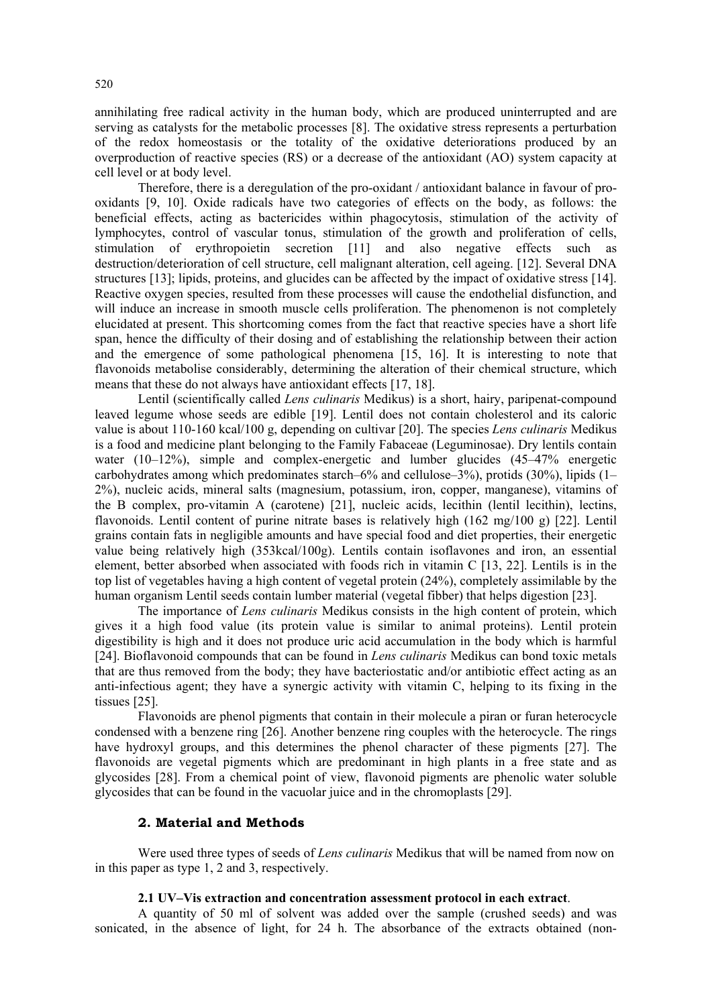annihilating free radical activity in the human body, which are produced uninterrupted and are serving as catalysts for the metabolic processes [8]. The oxidative stress represents a perturbation of the redox homeostasis or the totality of the oxidative deteriorations produced by an overproduction of reactive species (RS) or a decrease of the antioxidant (AO) system capacity at cell level or at body level.

Therefore, there is a deregulation of the pro-oxidant / antioxidant balance in favour of prooxidants [9, 10]. Oxide radicals have two categories of effects on the body, as follows: the beneficial effects, acting as bactericides within phagocytosis, stimulation of the activity of lymphocytes, control of vascular tonus, stimulation of the growth and proliferation of cells, stimulation of erythropoietin secretion [11] and also negative effects such as destruction/deterioration of cell structure, cell malignant alteration, cell ageing. [12]. Several DNA structures [13]; lipids, proteins, and glucides can be affected by the impact of oxidative stress [14]. Reactive oxygen species, resulted from these processes will cause the endothelial disfunction, and will induce an increase in smooth muscle cells proliferation. The phenomenon is not completely elucidated at present. This shortcoming comes from the fact that reactive species have a short life span, hence the difficulty of their dosing and of establishing the relationship between their action and the emergence of some pathological phenomena [15, 16]. It is interesting to note that flavonoids metabolise considerably, determining the alteration of their chemical structure, which means that these do not always have antioxidant effects [17, 18].

Lentil (scientifically called *Lens culinaris* Medikus) is a short, hairy, paripenat-compound leaved legume whose seeds are edible [19]. Lentil does not contain cholesterol and its caloric value is about 110-160 kcal/100 g, depending on cultivar [20]. The species *Lens culinaris* Medikus is a food and medicine plant belonging to the Family Fabaceae (Leguminosae). Dry lentils contain water (10–12%), simple and complex-energetic and lumber glucides (45–47% energetic carbohydrates among which predominates starch–6% and cellulose–3%), protids (30%), lipids (1– 2%), nucleic acids, mineral salts (magnesium, potassium, iron, copper, manganese), vitamins of the B complex, pro-vitamin A (carotene) [21], nucleic acids, lecithin (lentil lecithin), lectins, flavonoids. Lentil content of purine nitrate bases is relatively high (162 mg/100 g) [22]. Lentil grains contain fats in negligible amounts and have special food and diet properties, their energetic value being relatively high (353kcal/100g). Lentils contain isoflavones and iron, an essential element, better absorbed when associated with foods rich in vitamin C [13, 22]. Lentils is in the top list of vegetables having a high content of vegetal protein (24%), completely assimilable by the human organism Lentil seeds contain lumber material (vegetal fibber) that helps digestion [23].

The importance of *Lens culinaris* Medikus consists in the high content of protein, which gives it a high food value (its protein value is similar to animal proteins). Lentil protein digestibility is high and it does not produce uric acid accumulation in the body which is harmful [24]. Bioflavonoid compounds that can be found in *Lens culinaris* Medikus can bond toxic metals that are thus removed from the body; they have bacteriostatic and/or antibiotic effect acting as an anti-infectious agent; they have a synergic activity with vitamin C, helping to its fixing in the tissues [25].

Flavonoids are phenol pigments that contain in their molecule a piran or furan heterocycle condensed with a benzene ring [26]. Another benzene ring couples with the heterocycle. The rings have hydroxyl groups, and this determines the phenol character of these pigments [27]. The flavonoids are vegetal pigments which are predominant in high plants in a free state and as glycosides [28]. From a chemical point of view, flavonoid pigments are phenolic water soluble glycosides that can be found in the vacuolar juice and in the chromoplasts [29].

### **2. Material and Methods**

Were used three types of seeds of *Lens culinaris* Medikus that will be named from now on in this paper as type 1, 2 and 3, respectively.

### **2.1 UV–Vis extraction and concentration assessment protocol in each extract**.

A quantity of 50 ml of solvent was added over the sample (crushed seeds) and was sonicated, in the absence of light, for 24 h. The absorbance of the extracts obtained (non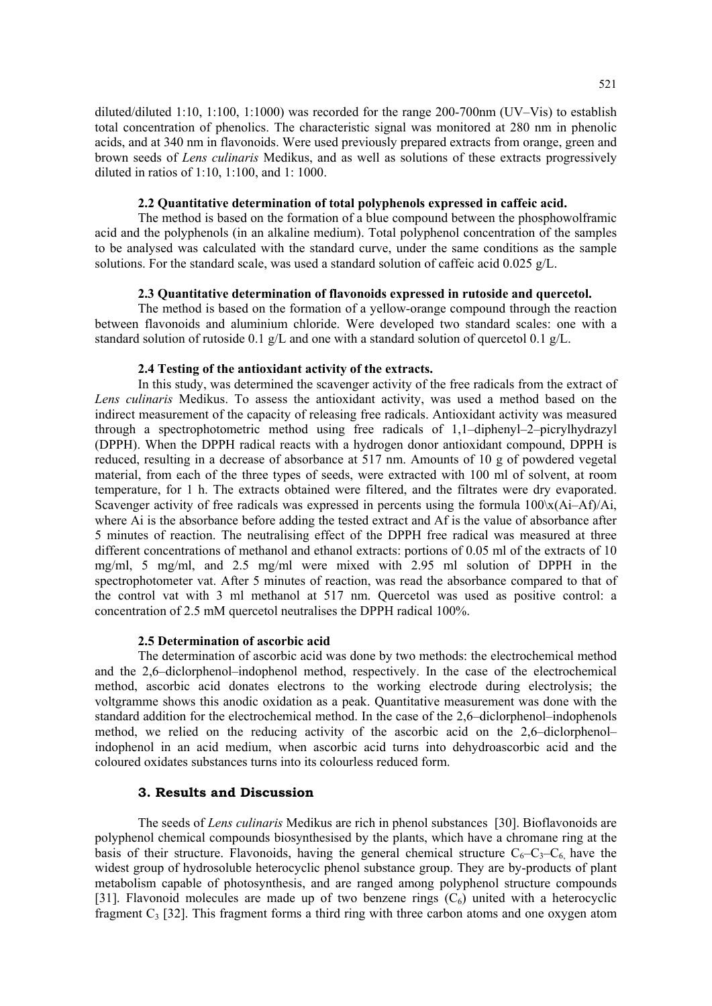diluted/diluted 1:10, 1:100, 1:1000) was recorded for the range 200-700nm (UV–Vis) to establish total concentration of phenolics. The characteristic signal was monitored at 280 nm in phenolic acids, and at 340 nm in flavonoids. Were used previously prepared extracts from orange, green and brown seeds of *Lens culinaris* Medikus, and as well as solutions of these extracts progressively diluted in ratios of 1:10, 1:100, and 1: 1000.

## **2.2 Quantitative determination of total polyphenols expressed in caffeic acid.**

The method is based on the formation of a blue compound between the phosphowolframic acid and the polyphenols (in an alkaline medium). Total polyphenol concentration of the samples to be analysed was calculated with the standard curve, under the same conditions as the sample solutions. For the standard scale, was used a standard solution of caffeic acid 0.025 g/L.

## **2.3 Quantitative determination of flavonoids expressed in rutoside and quercetol.**

The method is based on the formation of a yellow-orange compound through the reaction between flavonoids and aluminium chloride. Were developed two standard scales: one with a standard solution of rutoside 0.1  $g/L$  and one with a standard solution of quercetol 0.1  $g/L$ .

### **2.4 Testing of the antioxidant activity of the extracts.**

In this study, was determined the scavenger activity of the free radicals from the extract of *Lens culinaris* Medikus. To assess the antioxidant activity, was used a method based on the indirect measurement of the capacity of releasing free radicals. Antioxidant activity was measured through a spectrophotometric method using free radicals of 1,1–diphenyl–2–picrylhydrazyl (DPPH). When the DPPH radical reacts with a hydrogen donor antioxidant compound, DPPH is reduced, resulting in a decrease of absorbance at 517 nm. Amounts of 10 g of powdered vegetal material, from each of the three types of seeds, were extracted with 100 ml of solvent, at room temperature, for 1 h. The extracts obtained were filtered, and the filtrates were dry evaporated. Scavenger activity of free radicals was expressed in percents using the formula  $100 \times (Ai-Af)/Ai$ , where Ai is the absorbance before adding the tested extract and Af is the value of absorbance after 5 minutes of reaction. The neutralising effect of the DPPH free radical was measured at three different concentrations of methanol and ethanol extracts: portions of 0.05 ml of the extracts of 10 mg/ml, 5 mg/ml, and 2.5 mg/ml were mixed with 2.95 ml solution of DPPH in the spectrophotometer vat. After 5 minutes of reaction, was read the absorbance compared to that of the control vat with 3 ml methanol at 517 nm. Quercetol was used as positive control: a concentration of 2.5 mM quercetol neutralises the DPPH radical 100%.

#### **2.5 Determination of ascorbic acid**

The determination of ascorbic acid was done by two methods: the electrochemical method and the 2,6–diclorphenol–indophenol method, respectively. In the case of the electrochemical method, ascorbic acid donates electrons to the working electrode during electrolysis; the voltgramme shows this anodic oxidation as a peak. Quantitative measurement was done with the standard addition for the electrochemical method. In the case of the 2,6–diclorphenol–indophenols method, we relied on the reducing activity of the ascorbic acid on the 2,6–diclorphenol– indophenol in an acid medium, when ascorbic acid turns into dehydroascorbic acid and the coloured oxidates substances turns into its colourless reduced form.

### **3. Results and Discussion**

The seeds of *Lens culinaris* Medikus are rich in phenol substances [30]. Bioflavonoids are polyphenol chemical compounds biosynthesised by the plants, which have a chromane ring at the basis of their structure. Flavonoids, having the general chemical structure  $C_6-C_3-C_6$ , have the widest group of hydrosoluble heterocyclic phenol substance group. They are by-products of plant metabolism capable of photosynthesis, and are ranged among polyphenol structure compounds [31]. Flavonoid molecules are made up of two benzene rings  $(C_6)$  united with a heterocyclic fragment  $C_3$  [32]. This fragment forms a third ring with three carbon atoms and one oxygen atom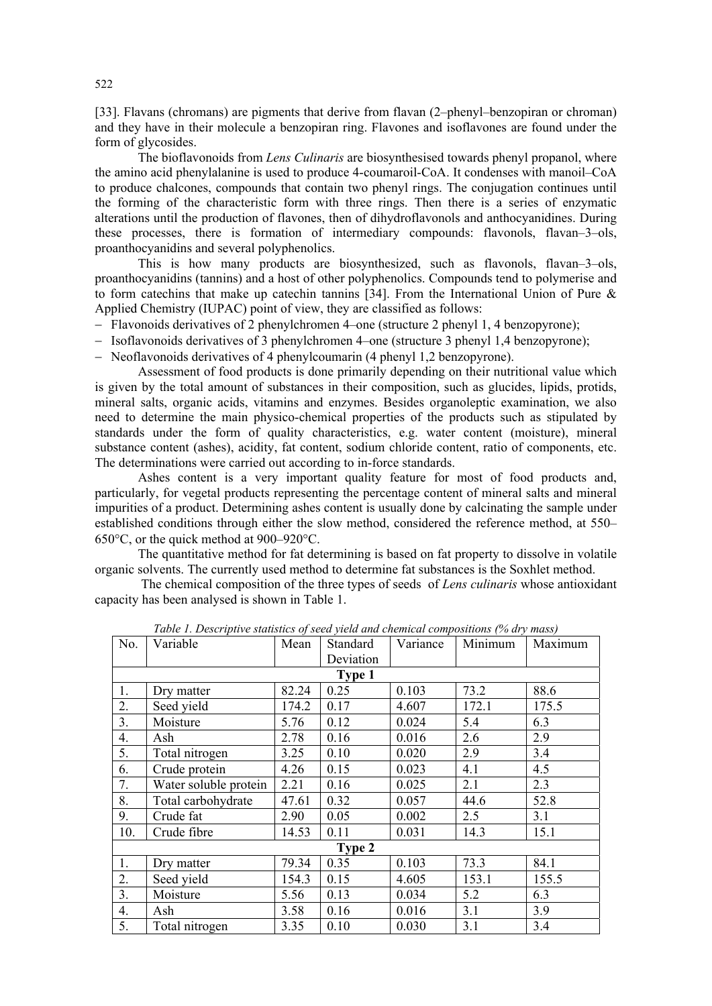[33]. Flavans (chromans) are pigments that derive from flavan (2–phenyl–benzopiran or chroman) and they have in their molecule a benzopiran ring. Flavones and isoflavones are found under the form of glycosides.

The bioflavonoids from *Lens Culinaris* are biosynthesised towards phenyl propanol, where the amino acid phenylalanine is used to produce 4-coumaroil-CoA. It condenses with manoil–CoA to produce chalcones, compounds that contain two phenyl rings. The conjugation continues until the forming of the characteristic form with three rings. Then there is a series of enzymatic alterations until the production of flavones, then of dihydroflavonols and anthocyanidines. During these processes, there is formation of intermediary compounds: flavonols, flavan–3–ols, proanthocyanidins and several polyphenolics.

This is how many products are biosynthesized, such as flavonols, flavan–3–ols, proanthocyanidins (tannins) and a host of other polyphenolics. Compounds tend to polymerise and to form catechins that make up catechin tannins [34]. From the International Union of Pure & Applied Chemistry (IUPAC) point of view, they are classified as follows:

- Flavonoids derivatives of 2 phenylchromen 4–one (structure 2 phenyl 1, 4 benzopyrone);
- Isoflavonoids derivatives of 3 phenylchromen 4–one (structure 3 phenyl 1,4 benzopyrone);
- Neoflavonoids derivatives of 4 phenylcoumarin (4 phenyl 1,2 benzopyrone).

Assessment of food products is done primarily depending on their nutritional value which is given by the total amount of substances in their composition, such as glucides, lipids, protids, mineral salts, organic acids, vitamins and enzymes. Besides organoleptic examination, we also need to determine the main physico-chemical properties of the products such as stipulated by standards under the form of quality characteristics, e.g. water content (moisture), mineral substance content (ashes), acidity, fat content, sodium chloride content, ratio of components, etc. The determinations were carried out according to in-force standards.

Ashes content is a very important quality feature for most of food products and, particularly, for vegetal products representing the percentage content of mineral salts and mineral impurities of a product. Determining ashes content is usually done by calcinating the sample under established conditions through either the slow method, considered the reference method, at 550– 650 $\degree$ C, or the quick method at 900–920 $\degree$ C.

The quantitative method for fat determining is based on fat property to dissolve in volatile organic solvents. The currently used method to determine fat substances is the Soxhlet method.

 The chemical composition of the three types of seeds of *Lens culinaris* whose antioxidant capacity has been analysed is shown in Table 1.

| No.            | este 11 B ese: ipiri e simisfies of securitiem effectivement compositions (70 m.) massiv<br>Variable | Mean  | Standard  | Variance | Minimum | Maximum |  |
|----------------|------------------------------------------------------------------------------------------------------|-------|-----------|----------|---------|---------|--|
|                |                                                                                                      |       | Deviation |          |         |         |  |
|                | Type 1                                                                                               |       |           |          |         |         |  |
| 1.             | Dry matter                                                                                           | 82.24 | 0.25      | 0.103    | 73.2    | 88.6    |  |
| 2.             | Seed yield                                                                                           | 174.2 | 0.17      | 4.607    | 172.1   | 175.5   |  |
| 3 <sub>1</sub> | Moisture                                                                                             | 5.76  | 0.12      | 0.024    | 5.4     | 6.3     |  |
| 4.             | Ash                                                                                                  | 2.78  | 0.16      | 0.016    | 2.6     | 2.9     |  |
| 5.             | Total nitrogen                                                                                       | 3.25  | 0.10      | 0.020    | 2.9     | 3.4     |  |
| 6.             | Crude protein                                                                                        | 4.26  | 0.15      | 0.023    | 4.1     | 4.5     |  |
| 7.             | Water soluble protein                                                                                | 2.21  | 0.16      | 0.025    | 2.1     | 2.3     |  |
| 8.             | Total carbohydrate                                                                                   | 47.61 | 0.32      | 0.057    | 44.6    | 52.8    |  |
| 9.             | Crude fat                                                                                            | 2.90  | 0.05      | 0.002    | 2.5     | 3.1     |  |
| 10.            | Crude fibre                                                                                          | 14.53 | 0.11      | 0.031    | 14.3    | 15.1    |  |
| Type 2         |                                                                                                      |       |           |          |         |         |  |
| 1.             | Dry matter                                                                                           | 79.34 | 0.35      | 0.103    | 73.3    | 84.1    |  |
| 2.             | Seed yield                                                                                           | 154.3 | 0.15      | 4.605    | 153.1   | 155.5   |  |
| 3 <sub>1</sub> | Moisture                                                                                             | 5.56  | 0.13      | 0.034    | 5.2     | 6.3     |  |
| 4.             | Ash                                                                                                  | 3.58  | 0.16      | 0.016    | 3.1     | 3.9     |  |
| 5.             | Total nitrogen                                                                                       | 3.35  | 0.10      | 0.030    | 3.1     | 3.4     |  |

*Table 1. Descriptive statistics of seed yield and chemical compositions (% dry mass)*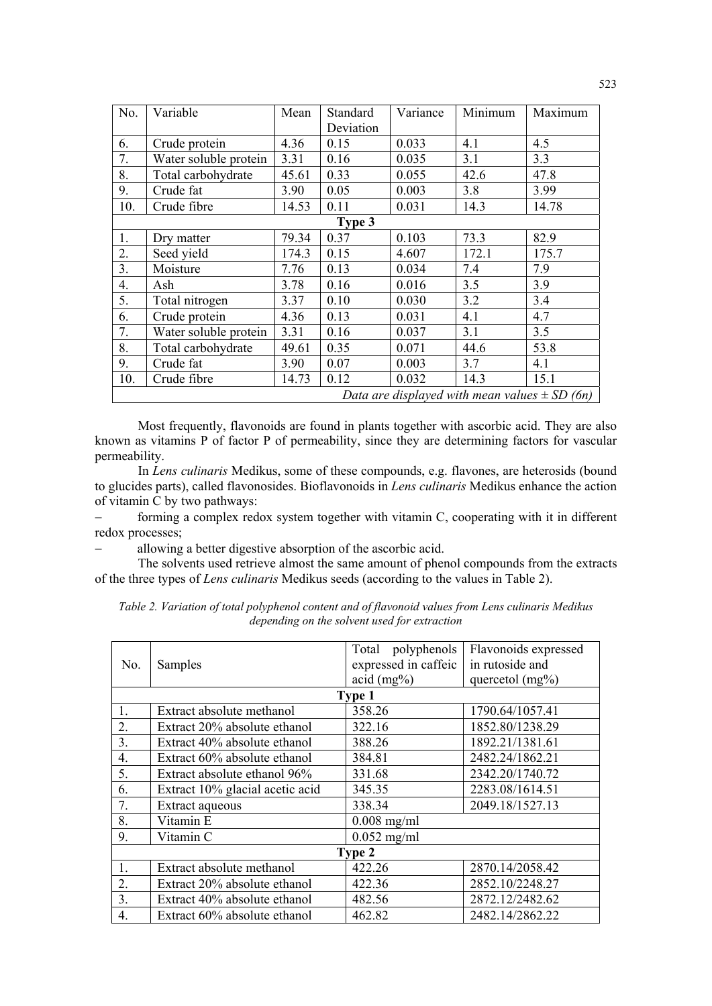| No.                                               | Variable              | Mean  | Standard  | Variance | Minimum | Maximum |
|---------------------------------------------------|-----------------------|-------|-----------|----------|---------|---------|
|                                                   |                       |       | Deviation |          |         |         |
| 6.                                                | Crude protein         | 4.36  | 0.15      | 0.033    | 4.1     | 4.5     |
| 7.                                                | Water soluble protein | 3.31  | 0.16      | 0.035    | 3.1     | 3.3     |
| 8.                                                | Total carbohydrate    | 45.61 | 0.33      | 0.055    | 42.6    | 47.8    |
| 9.                                                | Crude fat             | 3.90  | 0.05      | 0.003    | 3.8     | 3.99    |
| 10.                                               | Crude fibre           | 14.53 | 0.11      | 0.031    | 14.3    | 14.78   |
| Type 3                                            |                       |       |           |          |         |         |
| 1.                                                | Dry matter            | 79.34 | 0.37      | 0.103    | 73.3    | 82.9    |
| 2.                                                | Seed yield            | 174.3 | 0.15      | 4.607    | 172.1   | 175.7   |
| 3.                                                | Moisture              | 7.76  | 0.13      | 0.034    | 7.4     | 7.9     |
| 4.                                                | Ash                   | 3.78  | 0.16      | 0.016    | 3.5     | 3.9     |
| 5.                                                | Total nitrogen        | 3.37  | 0.10      | 0.030    | 3.2     | 3.4     |
| 6.                                                | Crude protein         | 4.36  | 0.13      | 0.031    | 4.1     | 4.7     |
| 7.                                                | Water soluble protein | 3.31  | 0.16      | 0.037    | 3.1     | 3.5     |
| 8.                                                | Total carbohydrate    | 49.61 | 0.35      | 0.071    | 44.6    | 53.8    |
| 9.                                                | Crude fat             | 3.90  | 0.07      | 0.003    | 3.7     | 4.1     |
| 10.                                               | Crude fibre           | 14.73 | 0.12      | 0.032    | 14.3    | 15.1    |
| Data are displayed with mean values $\pm$ SD (6n) |                       |       |           |          |         |         |

Most frequently, flavonoids are found in plants together with ascorbic acid. They are also known as vitamins P of factor P of permeability, since they are determining factors for vascular permeability.

In *Lens culinaris* Medikus, some of these compounds, e.g. flavones, are heterosids (bound to glucides parts), called flavonosides. Bioflavonoids in *Lens culinaris* Medikus enhance the action of vitamin C by two pathways:

 forming a complex redox system together with vitamin C, cooperating with it in different redox processes;

allowing a better digestive absorption of the ascorbic acid.

The solvents used retrieve almost the same amount of phenol compounds from the extracts of the three types of *Lens culinaris* Medikus seeds (according to the values in Table 2).

| No.              | Samples                         | Total polyphenols<br>expressed in caffeic<br>acid (mg%) | Flavonoids expressed<br>in rutoside and<br>quercetol $(mg\%)$ |  |  |  |
|------------------|---------------------------------|---------------------------------------------------------|---------------------------------------------------------------|--|--|--|
|                  |                                 | Type 1                                                  |                                                               |  |  |  |
| 1.               | Extract absolute methanol       | 358.26                                                  | 1790.64/1057.41                                               |  |  |  |
| 2.               | Extract 20% absolute ethanol    | 322.16                                                  | 1852.80/1238.29                                               |  |  |  |
| 3.               | Extract 40% absolute ethanol    | 388.26                                                  | 1892.21/1381.61                                               |  |  |  |
| $\overline{4}$ . | Extract 60% absolute ethanol    | 384.81                                                  | 2482.24/1862.21                                               |  |  |  |
| 5.               | Extract absolute ethanol 96%    | 331.68                                                  | 2342.20/1740.72                                               |  |  |  |
| 6.               | Extract 10% glacial acetic acid | 345.35                                                  | 2283.08/1614.51                                               |  |  |  |
| 7.               | Extract aqueous                 | 338.34                                                  | 2049.18/1527.13                                               |  |  |  |
| 8.               | Vitamin E                       | $0.008$ mg/ml                                           |                                                               |  |  |  |
| 9.               | Vitamin C                       | $0.052$ mg/ml                                           |                                                               |  |  |  |
| Type 2           |                                 |                                                         |                                                               |  |  |  |
| 1.               | Extract absolute methanol       | 422.26                                                  | 2870.14/2058.42                                               |  |  |  |
| 2.               | Extract 20% absolute ethanol    | 422.36                                                  | 2852.10/2248.27                                               |  |  |  |
| $\mathfrak{Z}$ . | Extract 40% absolute ethanol    | 482.56                                                  | 2872.12/2482.62                                               |  |  |  |
| $\overline{4}$ . | Extract 60% absolute ethanol    | 462.82                                                  | 2482.14/2862.22                                               |  |  |  |

*Table 2. Variation of total polyphenol content and of flavonoid values from Lens culinaris Medikus depending on the solvent used for extraction*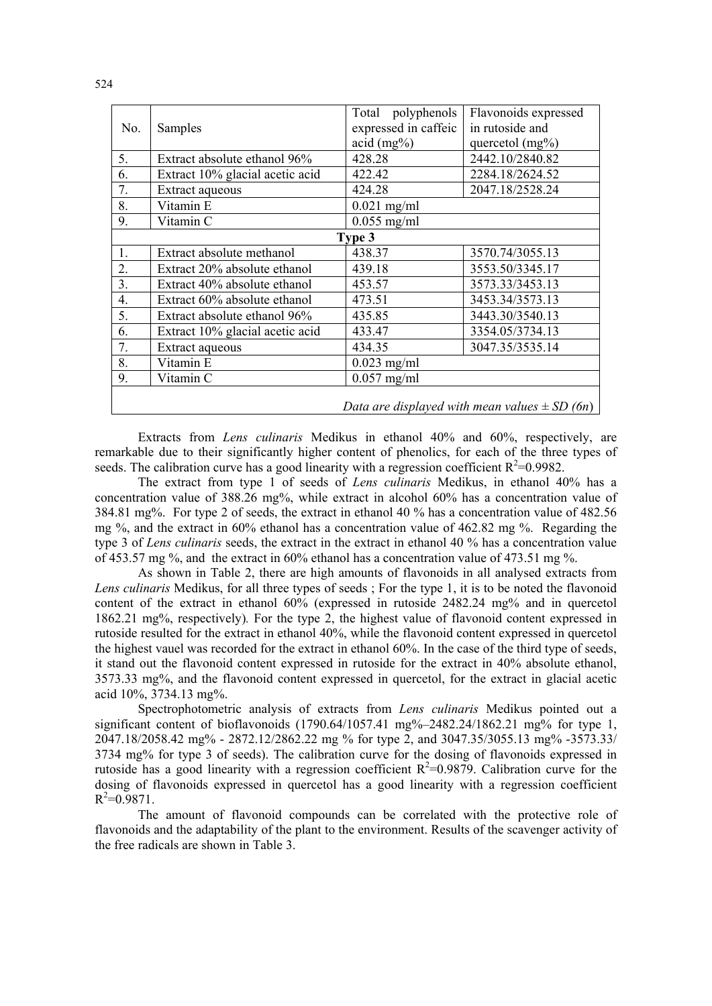|                                                   |                                 | Total polyphenols    | Flavonoids expressed |  |  |  |
|---------------------------------------------------|---------------------------------|----------------------|----------------------|--|--|--|
| No.                                               | Samples                         | expressed in caffeic | in rutoside and      |  |  |  |
|                                                   |                                 | acid (mg%)           | quercetol $(mg\%)$   |  |  |  |
| 5.                                                | Extract absolute ethanol 96%    | 428.28               | 2442.10/2840.82      |  |  |  |
| 6.                                                | Extract 10% glacial acetic acid | 422.42               | 2284.18/2624.52      |  |  |  |
| 7.                                                | Extract aqueous                 | 424.28               | 2047.18/2528.24      |  |  |  |
| 8.                                                | Vitamin E                       | $0.021$ mg/ml        |                      |  |  |  |
| 9.                                                | Vitamin C                       | $0.055$ mg/ml        |                      |  |  |  |
| Type 3                                            |                                 |                      |                      |  |  |  |
| 1.                                                | Extract absolute methanol       | 438.37               | 3570.74/3055.13      |  |  |  |
| $\overline{2}$ .                                  | Extract 20% absolute ethanol    | 439.18               | 3553.50/3345.17      |  |  |  |
| 3.                                                | Extract 40% absolute ethanol    | 453.57               | 3573.33/3453.13      |  |  |  |
| $\overline{4}$ .                                  | Extract 60% absolute ethanol    | 473.51               | 3453.34/3573.13      |  |  |  |
| 5.                                                | Extract absolute ethanol 96%    | 435.85               | 3443.30/3540.13      |  |  |  |
| 6.                                                | Extract 10% glacial acetic acid | 433.47               | 3354.05/3734.13      |  |  |  |
| 7.                                                | Extract aqueous                 | 434.35               | 3047.35/3535.14      |  |  |  |
| 8.                                                | Vitamin E                       | $0.023$ mg/ml        |                      |  |  |  |
| 9.                                                | Vitamin C                       | $0.057$ mg/ml        |                      |  |  |  |
| Data are displayed with mean values $\pm$ SD (6n) |                                 |                      |                      |  |  |  |

Extracts from *Lens culinaris* Medikus in ethanol 40% and 60%, respectively, are remarkable due to their significantly higher content of phenolics, for each of the three types of seeds. The calibration curve has a good linearity with a regression coefficient  $R^2$ =0.9982.

The extract from type 1 of seeds of *Lens culinaris* Medikus, in ethanol 40% has a concentration value of 388.26 mg%, while extract in alcohol 60% has a concentration value of 384.81 mg%. For type 2 of seeds, the extract in ethanol 40 % has a concentration value of 482.56 mg %, and the extract in 60% ethanol has a concentration value of 462.82 mg %. Regarding the type 3 of *Lens culinaris* seeds, the extract in the extract in ethanol 40 % has a concentration value of 453.57 mg  $\%$ , and the extract in 60% ethanol has a concentration value of 473.51 mg  $\%$ .

As shown in Table 2, there are high amounts of flavonoids in all analysed extracts from *Lens culinaris* Medikus, for all three types of seeds ; For the type 1, it is to be noted the flavonoid content of the extract in ethanol 60% (expressed in rutoside 2482.24 mg% and in quercetol 1862.21 mg%, respectively)*.* For the type 2, the highest value of flavonoid content expressed in rutoside resulted for the extract in ethanol 40%, while the flavonoid content expressed in quercetol the highest vauel was recorded for the extract in ethanol 60%. In the case of the third type of seeds, it stand out the flavonoid content expressed in rutoside for the extract in 40% absolute ethanol, 3573.33 mg%, and the flavonoid content expressed in quercetol, for the extract in glacial acetic acid 10%, 3734.13 mg%.

Spectrophotometric analysis of extracts from *Lens culinaris* Medikus pointed out a significant content of bioflavonoids  $(1790.64/1057.41 \text{ mg}\% - 2482.24/1862.21 \text{ mg}\%$  for type 1, 2047.18/2058.42 mg% - 2872.12/2862.22 mg % for type 2, and 3047.35/3055.13 mg% -3573.33/ 3734 mg% for type 3 of seeds). The calibration curve for the dosing of flavonoids expressed in rutoside has a good linearity with a regression coefficient  $R^2$ =0.9879. Calibration curve for the dosing of flavonoids expressed in quercetol has a good linearity with a regression coefficient  $R^2 = 0.9871$ .

The amount of flavonoid compounds can be correlated with the protective role of flavonoids and the adaptability of the plant to the environment. Results of the scavenger activity of the free radicals are shown in Table 3.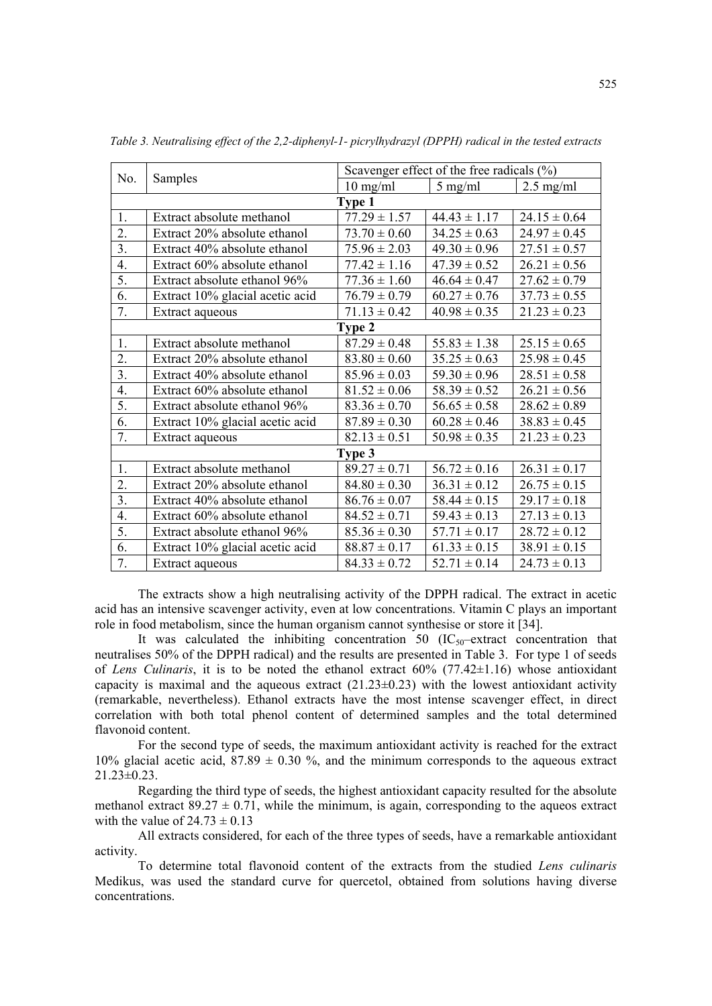| No.              |                                 | Scavenger effect of the free radicals $(\%)$ |                  |                  |  |  |
|------------------|---------------------------------|----------------------------------------------|------------------|------------------|--|--|
|                  | Samples                         | $10 \text{ mg/ml}$                           | $5$ mg/ml        | $2.5$ mg/ml      |  |  |
| Type 1           |                                 |                                              |                  |                  |  |  |
| 1.               | Extract absolute methanol       | $77.29 \pm 1.57$                             | $44.43 \pm 1.17$ | $24.15 \pm 0.64$ |  |  |
| 2.               | Extract 20% absolute ethanol    | $73.70 \pm 0.60$                             | $34.25 \pm 0.63$ | $24.97 \pm 0.45$ |  |  |
| 3.               | Extract 40% absolute ethanol    | $75.96 \pm 2.03$                             | $49.30 \pm 0.96$ | $27.51 \pm 0.57$ |  |  |
| 4.               | Extract 60% absolute ethanol    | $77.42 \pm 1.16$                             | $47.39 \pm 0.52$ | $26.21 \pm 0.56$ |  |  |
| 5.               | Extract absolute ethanol 96%    | $77.36 \pm 1.60$                             | $46.64 \pm 0.47$ | $27.62 \pm 0.79$ |  |  |
| 6.               | Extract 10% glacial acetic acid | $76.79 \pm 0.79$                             | $60.27 \pm 0.76$ | $37.73 \pm 0.55$ |  |  |
| 7.               | Extract aqueous                 | $71.13 \pm 0.42$                             | $40.98 \pm 0.35$ | $21.23 \pm 0.23$ |  |  |
| Type 2           |                                 |                                              |                  |                  |  |  |
| 1.               | Extract absolute methanol       | $87.29 \pm 0.48$                             | $55.83 \pm 1.38$ | $25.15 \pm 0.65$ |  |  |
| 2.               | Extract 20% absolute ethanol    | $83.80 \pm 0.60$                             | $35.25 \pm 0.63$ | $25.98 \pm 0.45$ |  |  |
| 3.               | Extract 40% absolute ethanol    | $85.96 \pm 0.03$                             | $59.30 \pm 0.96$ | $28.51 \pm 0.58$ |  |  |
| 4.               | Extract 60% absolute ethanol    | $81.52 \pm 0.06$                             | $58.39 \pm 0.52$ | $26.21 \pm 0.56$ |  |  |
| 5.               | Extract absolute ethanol 96%    | $83.36 \pm 0.70$                             | $56.65 \pm 0.58$ | $28.62 \pm 0.89$ |  |  |
| 6.               | Extract 10% glacial acetic acid | $87.89 \pm 0.30$                             | $60.28 \pm 0.46$ | $38.83 \pm 0.45$ |  |  |
| 7.               | Extract aqueous                 | $82.13 \pm 0.51$                             | $50.98 \pm 0.35$ | $21.23 \pm 0.23$ |  |  |
|                  |                                 | Type 3                                       |                  |                  |  |  |
| 1.               | Extract absolute methanol       | $89.27 \pm 0.71$                             | $56.72 \pm 0.16$ | $26.31 \pm 0.17$ |  |  |
| 2.               | Extract 20% absolute ethanol    | $84.80 \pm 0.30$                             | $36.31 \pm 0.12$ | $26.75 \pm 0.15$ |  |  |
| 3.               | Extract 40% absolute ethanol    | $86.76 \pm 0.07$                             | $58.44 \pm 0.15$ | $29.17 \pm 0.18$ |  |  |
| $\overline{4}$ . | Extract 60% absolute ethanol    | $84.52 \pm 0.71$                             | $59.43 \pm 0.13$ | $27.13 \pm 0.13$ |  |  |
| 5.               | Extract absolute ethanol 96%    | $85.36 \pm 0.30$                             | $57.71 \pm 0.17$ | $28.72 \pm 0.12$ |  |  |
| 6.               | Extract 10% glacial acetic acid | $88.87 \pm 0.17$                             | $61.33 \pm 0.15$ | $38.91 \pm 0.15$ |  |  |
| 7.               | Extract aqueous                 | $84.33 \pm 0.72$                             | $52.71 \pm 0.14$ | $24.73 \pm 0.13$ |  |  |

*Table 3. Neutralising effect of the 2,2-diphenyl-1- picrylhydrazyl (DPPH) radical in the tested extracts* 

The extracts show a high neutralising activity of the DPPH radical. The extract in acetic acid has an intensive scavenger activity, even at low concentrations. Vitamin C plays an important role in food metabolism, since the human organism cannot synthesise or store it [34].

It was calculated the inhibiting concentration 50  $(IC_{50}$ -extract concentration that neutralises 50% of the DPPH radical) and the results are presented in Table 3. For type 1 of seeds of *Lens Culinaris*, it is to be noted the ethanol extract 60% (77.42±1.16) whose antioxidant capacity is maximal and the aqueous extract  $(21.23\pm0.23)$  with the lowest antioxidant activity (remarkable, nevertheless). Ethanol extracts have the most intense scavenger effect, in direct correlation with both total phenol content of determined samples and the total determined flavonoid content.

For the second type of seeds, the maximum antioxidant activity is reached for the extract 10% glacial acetic acid,  $87.89 \pm 0.30$  %, and the minimum corresponds to the aqueous extract  $21.23\pm 0.23$ 

Regarding the third type of seeds, the highest antioxidant capacity resulted for the absolute methanol extract  $89.27 \pm 0.71$ , while the minimum, is again, corresponding to the aqueos extract with the value of  $24.73 \pm 0.13$ 

All extracts considered, for each of the three types of seeds, have a remarkable antioxidant activity.

To determine total flavonoid content of the extracts from the studied *Lens culinaris*  Medikus, was used the standard curve for quercetol, obtained from solutions having diverse concentrations.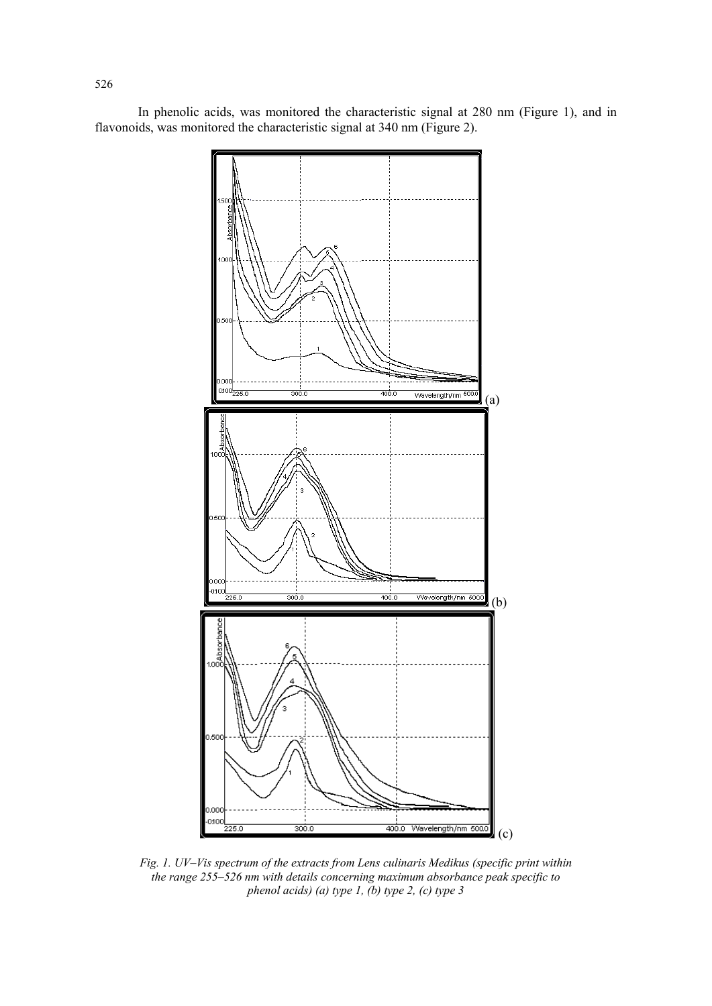i OC  $\frac{1}{0100}$ <sub>225.0</sub> Wavelength/nm 5000  $\frac{1}{300.0}$  $\frac{1}{400.0}$  (a)  $-0.100$ Wavelength/nm 5000  $\frac{1}{300}$  $\frac{1}{400.0}$  (b) š 1ni isc .00 0100  $300.0$ 400.0 Wavelength/nm 500.0 (c)

In phenolic acids, was monitored the characteristic signal at 280 nm (Figure 1), and in flavonoids, was monitored the characteristic signal at 340 nm (Figure 2).

*Fig. 1. UV–Vis spectrum of the extracts from Lens culinaris Medikus (specific print within the range 255–526 nm with details concerning maximum absorbance peak specific to phenol acids) (a) type 1, (b) type 2, (c) type 3* 

526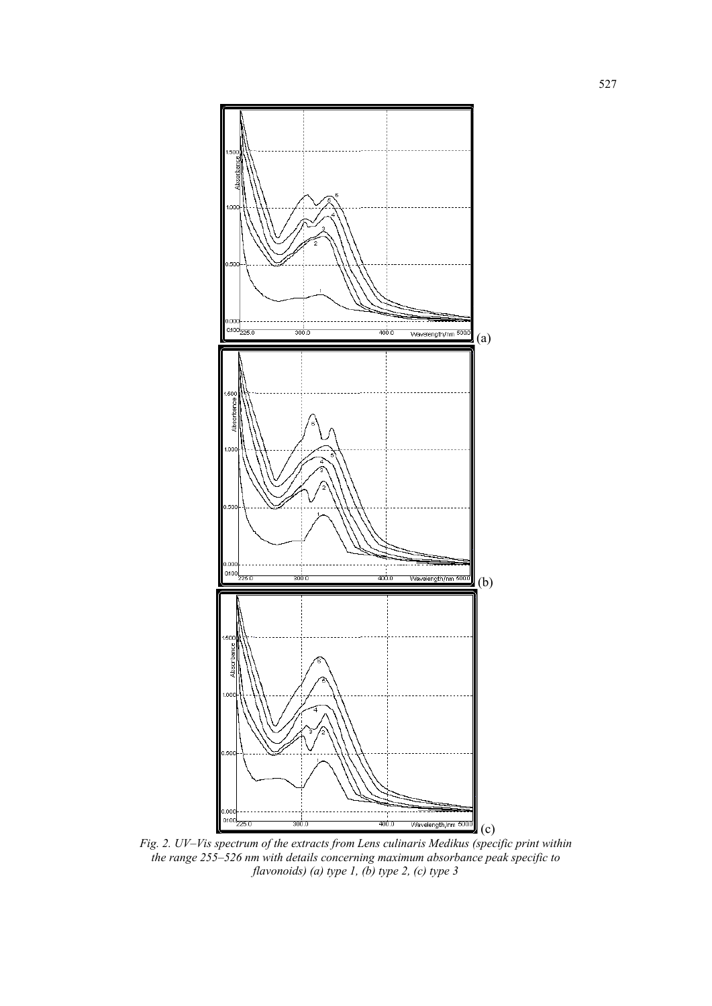

*Fig. 2. UV–Vis spectrum of the extracts from Lens culinaris Medikus (specific print within the range 255–526 nm with details concerning maximum absorbance peak specific to flavonoids) (a) type 1, (b) type 2, (c) type 3*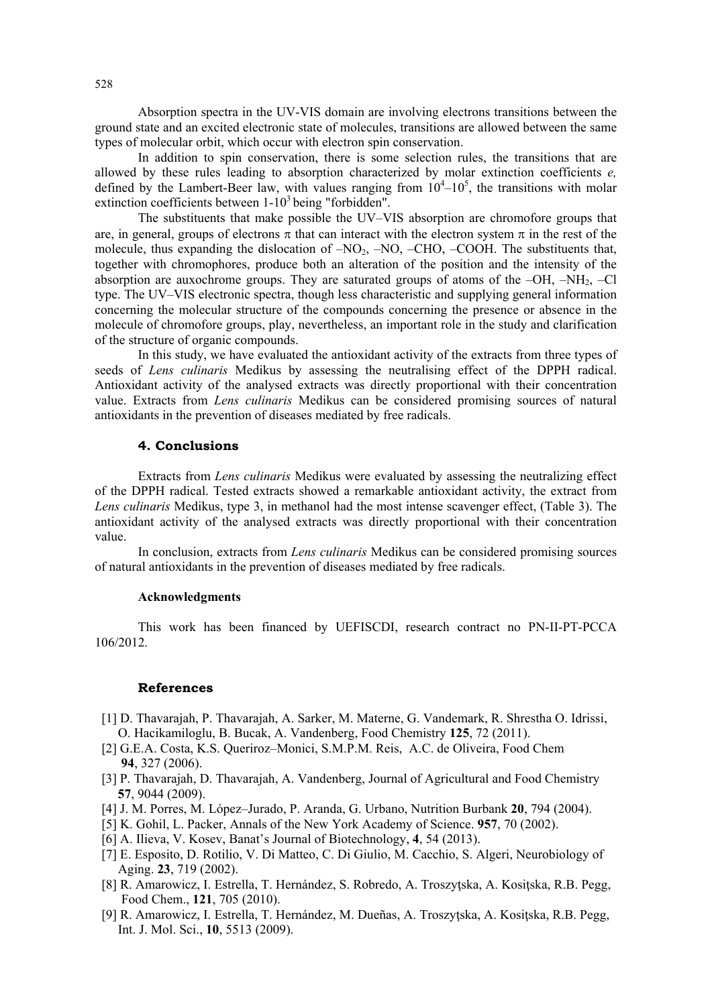Absorption spectra in the UV-VIS domain are involving electrons transitions between the ground state and an excited electronic state of molecules, transitions are allowed between the same types of molecular orbit, which occur with electron spin conservation.

In addition to spin conservation, there is some selection rules, the transitions that are allowed by these rules leading to absorption characterized by molar extinction coefficients *e,* defined by the Lambert-Beer law, with values ranging from  $10^4$ – $10^5$ , the transitions with molar extinction coefficients between  $1-10<sup>3</sup>$  being "forbidden".

The substituents that make possible the UV–VIS absorption are chromofore groups that are, in general, groups of electrons  $\pi$  that can interact with the electron system  $\pi$  in the rest of the molecule, thus expanding the dislocation of  $-NO_2$ ,  $-NO$ ,  $-CHO$ ,  $-COOH$ . The substituents that, together with chromophores, produce both an alteration of the position and the intensity of the absorption are auxochrome groups. They are saturated groups of atoms of the  $-OH$ ,  $-NH<sub>2</sub>$ ,  $-CI$ type. The UV–VIS electronic spectra, though less characteristic and supplying general information concerning the molecular structure of the compounds concerning the presence or absence in the molecule of chromofore groups, play, nevertheless, an important role in the study and clarification of the structure of organic compounds.

In this study, we have evaluated the antioxidant activity of the extracts from three types of seeds of *Lens culinaris* Medikus by assessing the neutralising effect of the DPPH radical. Antioxidant activity of the analysed extracts was directly proportional with their concentration value. Extracts from *Lens culinaris* Medikus can be considered promising sources of natural antioxidants in the prevention of diseases mediated by free radicals.

#### **4. Conclusions**

Extracts from *Lens culinaris* Medikus were evaluated by assessing the neutralizing effect of the DPPH radical. Tested extracts showed a remarkable antioxidant activity, the extract from *Lens culinaris* Medikus, type 3, in methanol had the most intense scavenger effect, (Table 3). The antioxidant activity of the analysed extracts was directly proportional with their concentration value.

In conclusion, extracts from *Lens culinaris* Medikus can be considered promising sources of natural antioxidants in the prevention of diseases mediated by free radicals.

#### **Acknowledgments**

This work has been financed by UEFISCDI, research contract no PN-II-PT-PCCA 106/2012.

#### **References**

- [1] D. Thavarajah, P. Thavarajah, A. Sarker, M. Materne, G. Vandemark, R. Shrestha O. Idrissi, O. Hacikamiloglu, B. Bucak, A. Vandenberg, Food Chemistry **125**, 72 (2011).
- [2] G.E.A. Costa, K.S. Queriroz–Monici, S.M.P.M. Reis, A.C. de Oliveira, Food Chem **94**, 327 (2006).
- [3] P. Thavarajah, D. Thavarajah, A. Vandenberg, Journal of Agricultural and Food Chemistry **57**, 9044 (2009).
- [4] J. M. Porres, M. López–Jurado, P. Aranda, G. Urbano, Nutrition Burbank **20**, 794 (2004).
- [5] K. Gohil, L. Packer, Annals of the New York Academy of Science. **957**, 70 (2002).
- [6] A. Ilieva, V. Kosev, Banat's Journal of Biotechnology, **4**, 54 (2013).
- [7] E. Esposito, D. Rotilio, V. Di Matteo, C. Di Giulio, M. Cacchio, S. Algeri, Neurobiology of Aging. **23**, 719 (2002).
- [8] R. Amarowicz, I. Estrella, T. Hernández, S. Robredo, A. Troszytska, A. Kositska, R.B. Pegg, Food Chem., **121**, 705 (2010).
- [9] R. Amarowicz, I. Estrella, T. Hernández, M. Dueñas, A. Troszytska, A. Kositska, R.B. Pegg, Int. J. Mol. Sci., **10**, 5513 (2009).